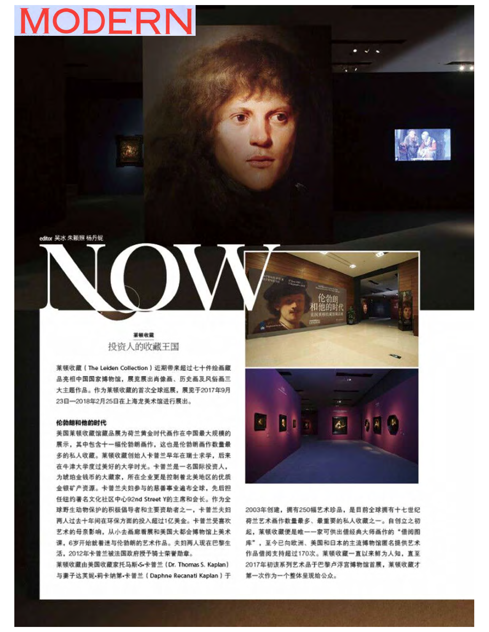# **MODERN**



editor 吴冰 朱颖照 杨丹妮

業績收載 投资人的收藏王国

莱顿收藏 (The Leiden Collection) 近期带来超过七十件绘画藏 品亮相中国国家博物馆,展览展出肖像画、历史画及风俗画三 大主题作品。作为莱顿收藏的首次全球巡展,展览于2017年9月 23日-2018年2月25日在上海龙美术馆进行展出。

#### 伦勃朗和他的时代

美国莱顿收藏馆藏品展为荷兰黄金时代画作在中国最大规模的 展示,其中包含十一幅伦勃朗画作,这也是伦勃朗画作数量最 多的私人收藏。莱顿收藏创始人卡普兰早年在瑞士求学, 后来 在牛津大学度过美好的大学时光。卡普兰是一名国际投资人, 为琥珀金钱币的大藏家, 所在企业更是控制着北美地区的优质 金银矿产资源。卡普兰夫妇参与的慈善事业遍布全球,先后担 任纽约著名文化社区中心92nd Street Y的主席和会长。作为全 球野生动物保护的积极倡导者和主要资助者之一, 卡普兰夫妇 两人过去十年间在环保方面的投入超过1亿美金。卡普兰受喜欢 艺术的母亲影响, 从小去画廊看展和美国大都会博物馆上美术 课,6岁开始就着迷与伦勃朗的艺术作品。夫妇两人现在巴黎生 活, 2012年卡普兰被法国政府授予骑士荣誉勋章。

莱顿收藏由美国收藏家托马斯·S-卡普兰 (Dr. Thomas S. Kaplan) 与妻子达芙妮·莉卡纳第·卡普兰 (Daphne Recanati Kaplan)于 K) ИL  $\mathbf{A}$ 

2003年创建, 拥有250幅艺术珍品, 是目前全球拥有十七世纪 荷兰艺术画作数量最多、最重要的私人收藏之一。自创立之初 起, 菜顿收藏便是唯一一家可供出借经典大师画作的"借阅图 库", 至今已向欧洲、美国和日本的主流博物馆匿名提供艺术 作品借阅支持超过170次。莱顿收藏一直以来鲜为人知, 直至 2017年初该系列艺术品于巴黎卢浮宫博物馆首展, 莱顿收藏才 第一次作为一个整体呈现给公众。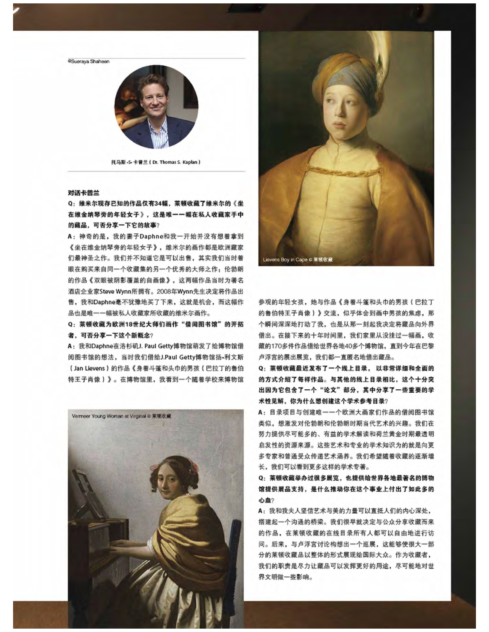@Sueraya Shaheen



托马斯·S-卡普兰 (Dr. Thomas S. Kaplan)

#### 对话卡普兰

Q: 维米尔现存已知的作品仅有34幅, 莱顿收藏了维米尔的《坐 在维金纳琴旁的年轻女子》,这是唯一一幅在私人收藏家手中 的藏品,可否分享一下它的故事?

A: 神奇的是, 我的妻子Daphne和我一开始并没有想着拿到 《坐在维金纳琴旁的年轻女子》,维米尔的画作都是欧洲藏家 们最神圣之作。我们并不知道它是可以出售, 其实我们当时着 眼在购买来自同一个收藏集的另一个优秀的大师之作: 伦勃朗 的作品《双眼被阴影覆盖的自画像》,这两幅作品当时为著名 酒店企业家Steve Wynn所拥有。2008年Wynn先生决定将作品出 售,我和Daphne毫不犹豫地买了下来,这就是机会,而这幅作 品也是唯一一幅被私人收藏家所收藏的维米尔画作。

Q: 菜顿收藏为欧洲18世纪大师们画作"借阅图书馆"的开拓 者, 可否分享一下这个新概念?

A: 我和Daphne在洛杉矶J. Paul Getty博物馆萌发了给博物馆借 阅图书馆的想法, 当时我们借给J.Paul Getty博物馆扬·利文斯 (Jan Lievens) 的作品《身着斗篷和头巾的男孩(巴拉丁的鲁伯 特王子肖像)》。在博物馆里,我看到一个随着学校来博物馆





参观的年轻女孩,她与作品《身着斗篷和头巾的男孩(巴拉丁 的鲁伯特王子肖像)》交流,似乎体会到画中男孩的焦虑,那 个瞬间深深地打动了我,也是从那一刻起我决定将藏品向外界 借出。在接下来的十年时间里, 我们家里从没挂过一幅画, 收 藏的170多件作品借给世界各地40多个博物馆,直到今年在巴黎 卢浮宫的展出展览, 我们都一直匿名地借出藏品。

Q: 菜顿收藏最近发布了一个线上目录, 以非常详细和全面的 的方式介绍了每样作品。与其他的线上目录相比,这个十分突 出因为它包含了一个"论文"部分, 其中分享了一些重要的学 术性见解, 你为什么想创建这个学术参考目录?

A: 目录项目与创建唯一一个欧洲大画家们作品的借阅图书馆 类似, 想激发对伦勃朗和伦勃朗时期当代艺术的兴趣。我们在 努力提供尽可能多的、有益的学术解读和荷兰黄金时期最透明 启发性的资源来源。这些艺术和专业的学术知识为的就是向更 多专家和普通受众传递艺术涵养。我们希望随着收藏的逐渐增 长,我们可以看到更多这样的学术专著。

Q: 菜顿收藏举办过很多展览, 也提供给世界各地最著名的博物 馆提供展品支持,是什么推动你在这个事业上付出了如此多的 心血?

A: 我和我夫人坚信艺术与美的力量可以直抵人们的内心深处, 搭建起一个沟通的桥梁。我们很早就决定与公众分享收藏而来 的作品, 在莱顿收藏的在线目录所有人都可以自由地进行访 问。后来,与卢浮宫讨论构想出一个巡展,这能够使很大一部 分的莱顿收藏品以整体的形式展现给国际大众。作为收藏者, 我们的职责是尽力让藏品可以发挥更好的用途, 尽可能地对世 界文明做一些影响。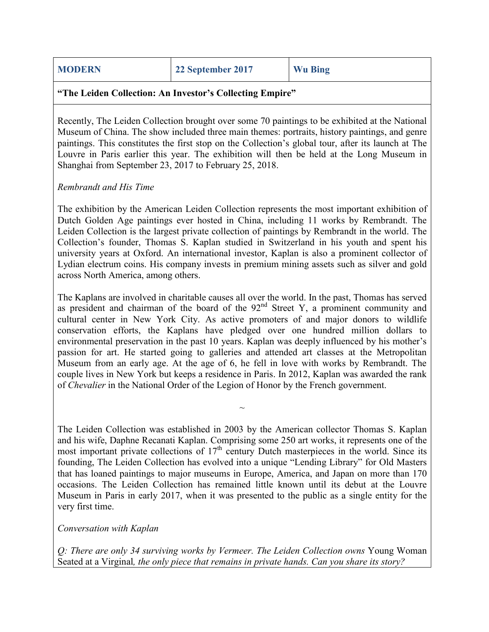|  | <b>MODERN</b> |  |
|--|---------------|--|
|  |               |  |
|  |               |  |

**22 September 2017 Wu Bing** 

#### **"The Leiden Collection: An Investor's Collecting Empire"**

Recently, The Leiden Collection brought over some 70 paintings to be exhibited at the National Museum of China. The show included three main themes: portraits, history paintings, and genre paintings. This constitutes the first stop on the Collection's global tour, after its launch at The Louvre in Paris earlier this year. The exhibition will then be held at the Long Museum in Shanghai from September 23, 2017 to February 25, 2018.

### *Rembrandt and His Time*

The exhibition by the American Leiden Collection represents the most important exhibition of Dutch Golden Age paintings ever hosted in China, including 11 works by Rembrandt. The Leiden Collection is the largest private collection of paintings by Rembrandt in the world. The Collection's founder, Thomas S. Kaplan studied in Switzerland in his youth and spent his university years at Oxford. An international investor, Kaplan is also a prominent collector of Lydian electrum coins. His company invests in premium mining assets such as silver and gold across North America, among others.

The Kaplans are involved in charitable causes all over the world. In the past, Thomas has served as president and chairman of the board of the  $92<sup>nd</sup>$  Street Y, a prominent community and cultural center in New York City. As active promoters of and major donors to wildlife conservation efforts, the Kaplans have pledged over one hundred million dollars to environmental preservation in the past 10 years. Kaplan was deeply influenced by his mother's passion for art. He started going to galleries and attended art classes at the Metropolitan Museum from an early age. At the age of 6, he fell in love with works by Rembrandt. The couple lives in New York but keeps a residence in Paris. In 2012, Kaplan was awarded the rank of *Chevalier* in the National Order of the Legion of Honor by the French government.

The Leiden Collection was established in 2003 by the American collector Thomas S. Kaplan and his wife, Daphne Recanati Kaplan. Comprising some 250 art works, it represents one of the most important private collections of  $17<sup>th</sup>$  century Dutch masterpieces in the world. Since its founding, The Leiden Collection has evolved into a unique "Lending Library" for Old Masters that has loaned paintings to major museums in Europe, America, and Japan on more than 170 occasions. The Leiden Collection has remained little known until its debut at the Louvre Museum in Paris in early 2017, when it was presented to the public as a single entity for the very first time.

 $\sim$ 

*Conversation with Kaplan*

*Q: There are only 34 surviving works by Vermeer. The Leiden Collection owns* Young Woman Seated at a Virginal*, the only piece that remains in private hands. Can you share its story?*